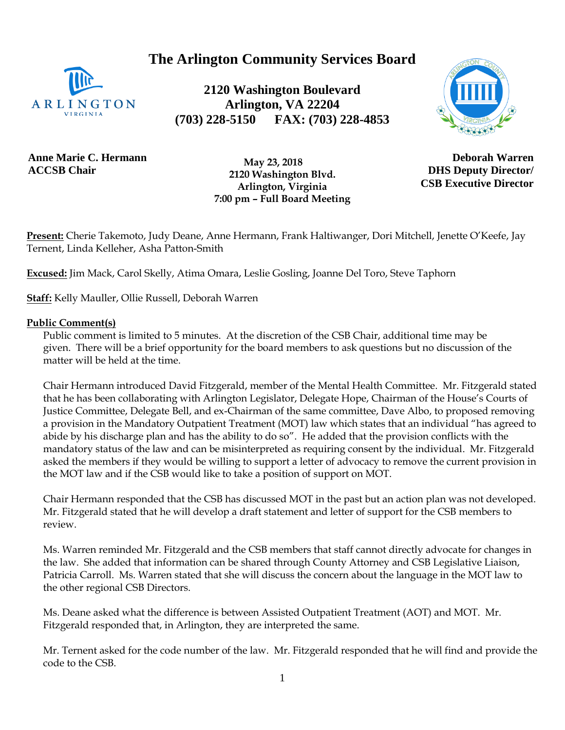**The Arlington Community Services Board**



**2120 Washington Boulevard Arlington, VA 22204 (703) 228-5150 FAX: (703) 228-4853**



**Anne Marie C. Hermann ACCSB Chair**

 **May 23, 2018 2120 Washington Blvd. Arlington, Virginia 7:00 pm – Full Board Meeting**

**Deborah Warren DHS Deputy Director/ CSB Executive Director**

**Present:** Cherie Takemoto, Judy Deane, Anne Hermann, Frank Haltiwanger, Dori Mitchell, Jenette O'Keefe, Jay Ternent, Linda Kelleher, Asha Patton-Smith

**Excused:** Jim Mack, Carol Skelly, Atima Omara, Leslie Gosling, Joanne Del Toro, Steve Taphorn

**Staff:** Kelly Mauller, Ollie Russell, Deborah Warren

#### **Public Comment(s)**

Public comment is limited to 5 minutes. At the discretion of the CSB Chair, additional time may be given. There will be a brief opportunity for the board members to ask questions [but](http://but.no/) no discussion of the matter will be held at the time.

Chair Hermann introduced David Fitzgerald, member of the Mental Health Committee. Mr. Fitzgerald stated that he has been collaborating with Arlington Legislator, Delegate Hope, Chairman of the House's Courts of Justice Committee, Delegate Bell, and ex-Chairman of the same committee, Dave Albo, to proposed removing a provision in the Mandatory Outpatient Treatment (MOT) law which states that an individual "has agreed to abide by his discharge plan and has the ability to do so". He added that the provision conflicts with the mandatory status of the law and can be misinterpreted as requiring consent by the individual. Mr. Fitzgerald asked the members if they would be willing to support a letter of advocacy to remove the current provision in the MOT law and if the CSB would like to take a position of support on MOT.

Chair Hermann responded that the CSB has discussed MOT in the past but an action plan was not developed. Mr. Fitzgerald stated that he will develop a draft statement and letter of support for the CSB members to review.

Ms. Warren reminded Mr. Fitzgerald and the CSB members that staff cannot directly advocate for changes in the law. She added that information can be shared through County Attorney and CSB Legislative Liaison, Patricia Carroll. Ms. Warren stated that she will discuss the concern about the language in the MOT law to the other regional CSB Directors.

Ms. Deane asked what the difference is between Assisted Outpatient Treatment (AOT) and MOT. Mr. Fitzgerald responded that, in Arlington, they are interpreted the same.

Mr. Ternent asked for the code number of the law. Mr. Fitzgerald responded that he will find and provide the code to the CSB.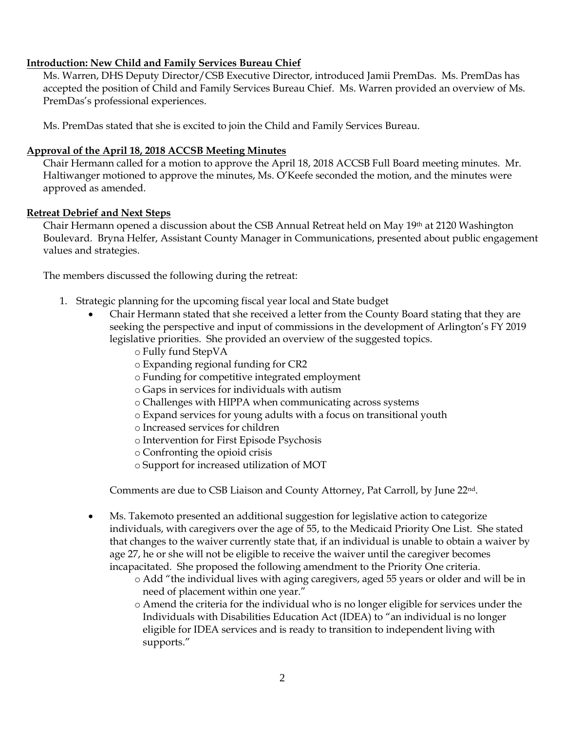### **Introduction: New Child and Family Services Bureau Chief**

Ms. Warren, DHS Deputy Director/CSB Executive Director, introduced Jamii PremDas. Ms. PremDas has accepted the position of Child and Family Services Bureau Chief. Ms. Warren provided an overview of Ms. PremDas's professional experiences.

Ms. PremDas stated that she is excited to join the Child and Family Services Bureau.

### **Approval of the April 18, 2018 ACCSB Meeting Minutes**

Chair Hermann called for a motion to approve the April 18, 2018 ACCSB Full Board meeting minutes. Mr. Haltiwanger motioned to approve the minutes, Ms. O'Keefe seconded the motion, and the minutes were approved as amended.

### **Retreat Debrief and Next Steps**

Chair Hermann opened a discussion about the CSB Annual Retreat held on May 19th at 2120 Washington Boulevard. Bryna Helfer, Assistant County Manager in Communications, presented about public engagement values and strategies.

The members discussed the following during the retreat:

- 1. Strategic planning for the upcoming fiscal year local and State budget
	- Chair Hermann stated that she received a letter from the County Board stating that they are seeking the perspective and input of commissions in the development of Arlington's FY 2019 legislative priorities. She provided an overview of the suggested topics.
		- o Fully fund StepVA
		- o Expanding regional funding for CR2
		- o Funding for competitive integrated employment
		- o Gaps in services for individuals with autism
		- o Challenges with HIPPA when communicating across systems
		- o Expand services for young adults with a focus on transitional youth
		- o Increased services for children
		- o Intervention for First Episode Psychosis
		- o Confronting the opioid crisis
		- o Support for increased utilization of MOT

Comments are due to CSB Liaison and County Attorney, Pat Carroll, by June 22nd.

- Ms. Takemoto presented an additional suggestion for legislative action to categorize individuals, with caregivers over the age of 55, to the Medicaid Priority One List. She stated that changes to the waiver currently state that, if an individual is unable to obtain a waiver by age 27, he or she will not be eligible to receive the waiver until the caregiver becomes incapacitated. She proposed the following amendment to the Priority One criteria.
	- o Add "the individual lives with aging caregivers, aged 55 years or older and will be in need of placement within one year."
	- o Amend the criteria for the individual who is no longer eligible for services under the Individuals with Disabilities Education Act (IDEA) to "an individual is no longer eligible for IDEA services and is ready to transition to independent living with supports."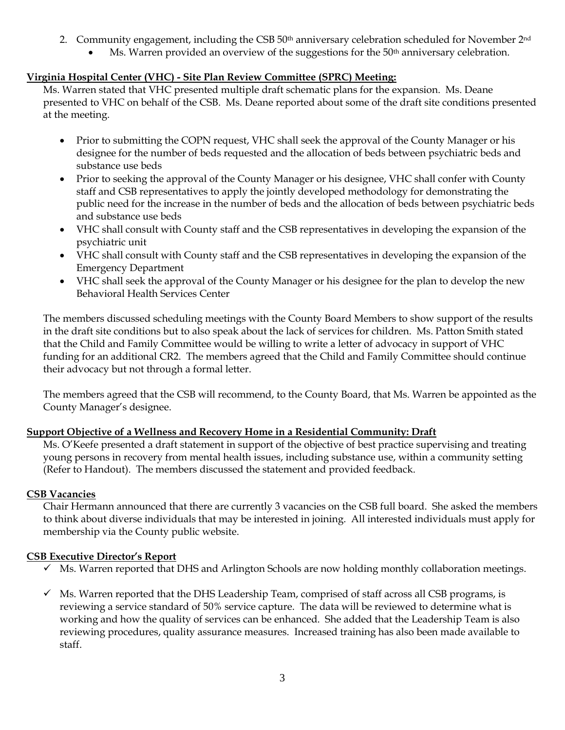- 2. Community engagement, including the CSB 50<sup>th</sup> anniversary celebration scheduled for November 2<sup>nd</sup>
	- Ms. Warren provided an overview of the suggestions for the  $50<sup>th</sup>$  anniversary celebration.

# **Virginia Hospital Center (VHC) - Site Plan Review Committee (SPRC) Meeting:**

Ms. Warren stated that VHC presented multiple draft schematic plans for the expansion. Ms. Deane presented to VHC on behalf of the CSB. Ms. Deane reported about some of the draft site conditions presented at the meeting.

- Prior to submitting the COPN request, VHC shall seek the approval of the County Manager or his designee for the number of beds requested and the allocation of beds between psychiatric beds and substance use beds
- Prior to seeking the approval of the County Manager or his designee, VHC shall confer with County staff and CSB representatives to apply the jointly developed methodology for demonstrating the public need for the increase in the number of beds and the allocation of beds between psychiatric beds and substance use beds
- VHC shall consult with County staff and the CSB representatives in developing the expansion of the psychiatric unit
- VHC shall consult with County staff and the CSB representatives in developing the expansion of the Emergency Department
- VHC shall seek the approval of the County Manager or his designee for the plan to develop the new Behavioral Health Services Center

The members discussed scheduling meetings with the County Board Members to show support of the results in the draft site conditions but to also speak about the lack of services for children. Ms. Patton Smith stated that the Child and Family Committee would be willing to write a letter of advocacy in support of VHC funding for an additional CR2. The members agreed that the Child and Family Committee should continue their advocacy but not through a formal letter.

The members agreed that the CSB will recommend, to the County Board, that Ms. Warren be appointed as the County Manager's designee.

## **Support Objective of a Wellness and Recovery Home in a Residential Community: Draft**

Ms. O'Keefe presented a draft statement in support of the objective of best practice supervising and treating young persons in recovery from mental health issues, including substance use, within a community setting (Refer to Handout). The members discussed the statement and provided feedback.

## **CSB Vacancies**

Chair Hermann announced that there are currently 3 vacancies on the CSB full board. She asked the members to think about diverse individuals that may be interested in joining. All interested individuals must apply for membership via the County public website.

## **CSB Executive Director's Report**

- ✓ Ms. Warren reported that DHS and Arlington Schools are now holding monthly collaboration meetings.
- $\checkmark$  Ms. Warren reported that the DHS Leadership Team, comprised of staff across all CSB programs, is reviewing a service standard of 50% service capture. The data will be reviewed to determine what is working and how the quality of services can be enhanced. She added that the Leadership Team is also reviewing procedures, quality assurance measures. Increased training has also been made available to staff.